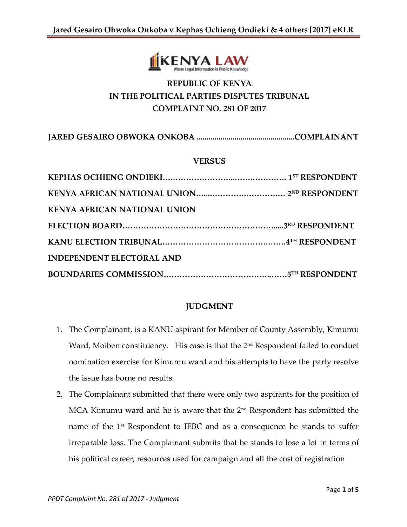

# **REPUBLIC OF KENYA IN THE POLITICAL PARTIES DISPUTES TRIBUNAL COMPLAINT NO. 281 OF 2017**

**JARED GESAIRO OBWOKA ONKOBA .................................................COMPLAINANT**

### **VERSUS**

| <b>KENYA AFRICAN NATIONAL UNION</b> |  |
|-------------------------------------|--|
|                                     |  |
|                                     |  |
| <b>INDEPENDENT ELECTORAL AND</b>    |  |
|                                     |  |

# **JUDGMENT**

- 1. The Complainant, is a KANU aspirant for Member of County Assembly, Kimumu Ward, Moiben constituency. His case is that the 2<sup>nd</sup> Respondent failed to conduct nomination exercise for Kimumu ward and his attempts to have the party resolve the issue has borne no results.
- 2. The Complainant submitted that there were only two aspirants for the position of MCA Kimumu ward and he is aware that the 2nd Respondent has submitted the name of the 1<sup>st</sup> Respondent to IEBC and as a consequence he stands to suffer irreparable loss. The Complainant submits that he stands to lose a lot in terms of his political career, resources used for campaign and all the cost of registration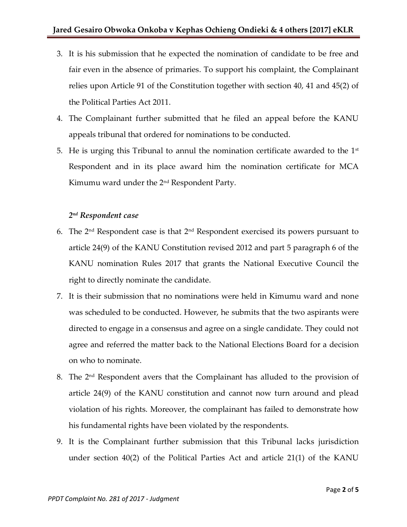- 3. It is his submission that he expected the nomination of candidate to be free and fair even in the absence of primaries. To support his complaint, the Complainant relies upon Article 91 of the Constitution together with section 40, 41 and 45(2) of the Political Parties Act 2011.
- 4. The Complainant further submitted that he filed an appeal before the KANU appeals tribunal that ordered for nominations to be conducted.
- 5. He is urging this Tribunal to annul the nomination certificate awarded to the  $1<sup>st</sup>$ Respondent and in its place award him the nomination certificate for MCA Kimumu ward under the 2nd Respondent Party.

# *2 nd Respondent case*

- 6. The  $2<sup>nd</sup>$  Respondent case is that  $2<sup>nd</sup>$  Respondent exercised its powers pursuant to article 24(9) of the KANU Constitution revised 2012 and part 5 paragraph 6 of the KANU nomination Rules 2017 that grants the National Executive Council the right to directly nominate the candidate.
- 7. It is their submission that no nominations were held in Kimumu ward and none was scheduled to be conducted. However, he submits that the two aspirants were directed to engage in a consensus and agree on a single candidate. They could not agree and referred the matter back to the National Elections Board for a decision on who to nominate.
- 8. The 2nd Respondent avers that the Complainant has alluded to the provision of article 24(9) of the KANU constitution and cannot now turn around and plead violation of his rights. Moreover, the complainant has failed to demonstrate how his fundamental rights have been violated by the respondents.
- 9. It is the Complainant further submission that this Tribunal lacks jurisdiction under section 40(2) of the Political Parties Act and article 21(1) of the KANU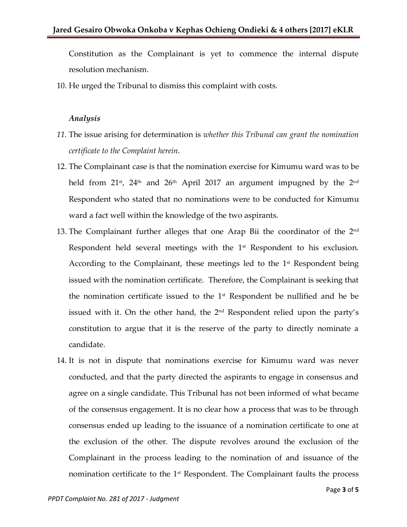Constitution as the Complainant is yet to commence the internal dispute resolution mechanism.

10. He urged the Tribunal to dismiss this complaint with costs.

#### *Analysis*

- *11.* The issue arising for determination is *whether this Tribunal can grant the nomination certificate to the Complaint herein.*
- 12. The Complainant case is that the nomination exercise for Kimumu ward was to be held from  $21^{st}$ ,  $24^{th}$  and  $26^{th}$  April 2017 an argument impugned by the  $2^{nd}$ Respondent who stated that no nominations were to be conducted for Kimumu ward a fact well within the knowledge of the two aspirants.
- 13. The Complainant further alleges that one Arap Bii the coordinator of the 2<sup>nd</sup> Respondent held several meetings with the  $1<sup>st</sup>$  Respondent to his exclusion. According to the Complainant, these meetings led to the  $1<sup>st</sup>$  Respondent being issued with the nomination certificate. Therefore, the Complainant is seeking that the nomination certificate issued to the  $1<sup>st</sup>$  Respondent be nullified and he be issued with it. On the other hand, the 2nd Respondent relied upon the party's constitution to argue that it is the reserve of the party to directly nominate a candidate.
- 14. It is not in dispute that nominations exercise for Kimumu ward was never conducted, and that the party directed the aspirants to engage in consensus and agree on a single candidate. This Tribunal has not been informed of what became of the consensus engagement. It is no clear how a process that was to be through consensus ended up leading to the issuance of a nomination certificate to one at the exclusion of the other. The dispute revolves around the exclusion of the Complainant in the process leading to the nomination of and issuance of the nomination certificate to the  $1<sup>st</sup>$  Respondent. The Complainant faults the process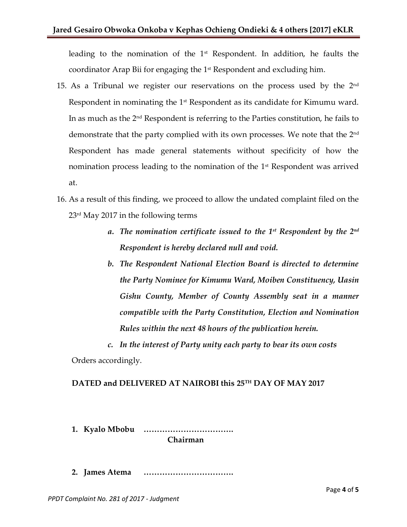leading to the nomination of the 1<sup>st</sup> Respondent. In addition, he faults the coordinator Arap Bii for engaging the  $1<sup>st</sup>$  Respondent and excluding him.

- 15. As a Tribunal we register our reservations on the process used by the  $2<sup>nd</sup>$ Respondent in nominating the 1st Respondent as its candidate for Kimumu ward. In as much as the  $2<sup>nd</sup>$  Respondent is referring to the Parties constitution, he fails to demonstrate that the party complied with its own processes. We note that the 2nd Respondent has made general statements without specificity of how the nomination process leading to the nomination of the  $1<sup>st</sup>$  Respondent was arrived at.
- 16. As a result of this finding, we proceed to allow the undated complaint filed on the 23rd May 2017 in the following terms
	- *a. The nomination certificate issued to the 1st Respondent by the 2nd Respondent is hereby declared null and void.*
	- *b. The Respondent National Election Board is directed to determine the Party Nominee for Kimumu Ward, Moiben Constituency, Uasin Gishu County, Member of County Assembly seat in a manner compatible with the Party Constitution, Election and Nomination Rules within the next 48 hours of the publication herein.*
	- *c. In the interest of Party unity each party to bear its own costs*

Orders accordingly.

# **DATED and DELIVERED AT NAIROBI this 25TH DAY OF MAY 2017**

**1. Kyalo Mbobu ……………………………. Chairman**

**2. James Atema …………………………….**